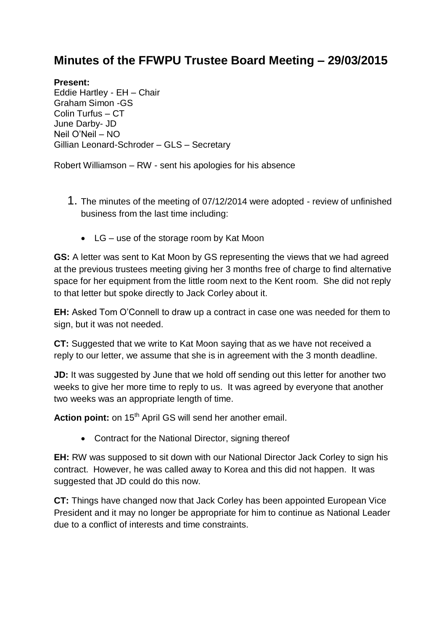## **Minutes of the FFWPU Trustee Board Meeting – 29/03/2015**

## **Present:**

Eddie Hartley - EH – Chair Graham Simon -GS Colin Turfus – CT June Darby- JD Neil O'Neil – NO Gillian Leonard-Schroder – GLS – Secretary

Robert Williamson – RW - sent his apologies for his absence

- 1. The minutes of the meeting of 07/12/2014 were adopted review of unfinished business from the last time including:
	- LG use of the storage room by Kat Moon

**GS:** A letter was sent to Kat Moon by GS representing the views that we had agreed at the previous trustees meeting giving her 3 months free of charge to find alternative space for her equipment from the little room next to the Kent room. She did not reply to that letter but spoke directly to Jack Corley about it.

**EH:** Asked Tom O'Connell to draw up a contract in case one was needed for them to sign, but it was not needed.

**CT:** Suggested that we write to Kat Moon saying that as we have not received a reply to our letter, we assume that she is in agreement with the 3 month deadline.

**JD:** It was suggested by June that we hold off sending out this letter for another two weeks to give her more time to reply to us. It was agreed by everyone that another two weeks was an appropriate length of time.

Action point: on 15<sup>th</sup> April GS will send her another email.

Contract for the National Director, signing thereof

**EH:** RW was supposed to sit down with our National Director Jack Corley to sign his contract. However, he was called away to Korea and this did not happen. It was suggested that JD could do this now.

**CT:** Things have changed now that Jack Corley has been appointed European Vice President and it may no longer be appropriate for him to continue as National Leader due to a conflict of interests and time constraints.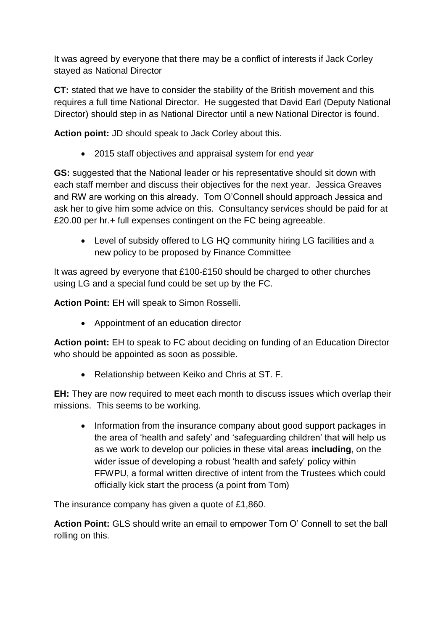It was agreed by everyone that there may be a conflict of interests if Jack Corley stayed as National Director

**CT:** stated that we have to consider the stability of the British movement and this requires a full time National Director. He suggested that David Earl (Deputy National Director) should step in as National Director until a new National Director is found.

**Action point:** JD should speak to Jack Corley about this.

2015 staff objectives and appraisal system for end year

**GS:** suggested that the National leader or his representative should sit down with each staff member and discuss their objectives for the next year. Jessica Greaves and RW are working on this already. Tom O'Connell should approach Jessica and ask her to give him some advice on this. Consultancy services should be paid for at £20.00 per hr.+ full expenses contingent on the FC being agreeable.

 Level of subsidy offered to LG HQ community hiring LG facilities and a new policy to be proposed by Finance Committee

It was agreed by everyone that £100-£150 should be charged to other churches using LG and a special fund could be set up by the FC.

**Action Point:** EH will speak to Simon Rosselli.

• Appointment of an education director

**Action point:** EH to speak to FC about deciding on funding of an Education Director who should be appointed as soon as possible.

Relationship between Keiko and Chris at ST. F.

**EH:** They are now required to meet each month to discuss issues which overlap their missions. This seems to be working.

• Information from the insurance company about good support packages in the area of 'health and safety' and 'safeguarding children' that will help us as we work to develop our policies in these vital areas **including**, on the wider issue of developing a robust 'health and safety' policy within FFWPU, a formal written directive of intent from the Trustees which could officially kick start the process (a point from Tom)

The insurance company has given a quote of £1,860.

**Action Point:** GLS should write an email to empower Tom O' Connell to set the ball rolling on this.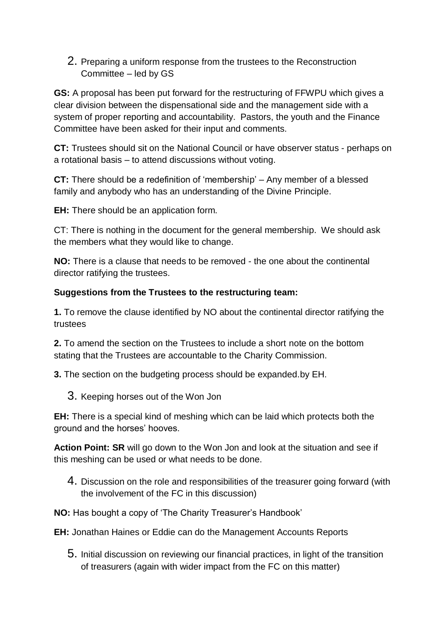2. Preparing a uniform response from the trustees to the Reconstruction Committee – led by GS

**GS:** A proposal has been put forward for the restructuring of FFWPU which gives a clear division between the dispensational side and the management side with a system of proper reporting and accountability. Pastors, the youth and the Finance Committee have been asked for their input and comments.

**CT:** Trustees should sit on the National Council or have observer status - perhaps on a rotational basis – to attend discussions without voting.

**CT:** There should be a redefinition of 'membership' – Any member of a blessed family and anybody who has an understanding of the Divine Principle.

**EH:** There should be an application form.

CT: There is nothing in the document for the general membership. We should ask the members what they would like to change.

**NO:** There is a clause that needs to be removed - the one about the continental director ratifying the trustees.

## **Suggestions from the Trustees to the restructuring team:**

**1.** To remove the clause identified by NO about the continental director ratifying the trustees

**2.** To amend the section on the Trustees to include a short note on the bottom stating that the Trustees are accountable to the Charity Commission.

**3.** The section on the budgeting process should be expanded.by EH.

3. Keeping horses out of the Won Jon

**EH:** There is a special kind of meshing which can be laid which protects both the ground and the horses' hooves.

**Action Point: SR** will go down to the Won Jon and look at the situation and see if this meshing can be used or what needs to be done.

4. Discussion on the role and responsibilities of the treasurer going forward (with the involvement of the FC in this discussion)

**NO:** Has bought a copy of 'The Charity Treasurer's Handbook'

**EH:** Jonathan Haines or Eddie can do the Management Accounts Reports

5. Initial discussion on reviewing our financial practices, in light of the transition of treasurers (again with wider impact from the FC on this matter)